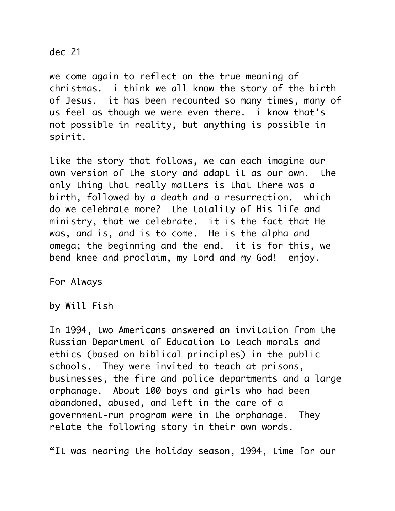## dec 21

we come again to reflect on the true meaning of christmas. i think we all know the story of the birth of Jesus. it has been recounted so many times, many of us feel as though we were even there. i know that's not possible in reality, but anything is possible in spirit.

like the story that follows, we can each imagine our own version of the story and adapt it as our own. the only thing that really matters is that there was a birth, followed by a death and a resurrection. which do we celebrate more? the totality of His life and ministry, that we celebrate. it is the fact that He was, and is, and is to come. He is the alpha and omega; the beginning and the end. it is for this, we bend knee and proclaim, my Lord and my God! enjoy.

For Always

by Will Fish

In 1994, two Americans answered an invitation from the Russian Department of Education to teach morals and ethics (based on biblical principles) in the public schools. They were invited to teach at prisons, businesses, the fire and police departments and a large orphanage. About 100 boys and girls who had been abandoned, abused, and left in the care of a government-run program were in the orphanage. They relate the following story in their own words.

"It was nearing the holiday season, 1994, time for our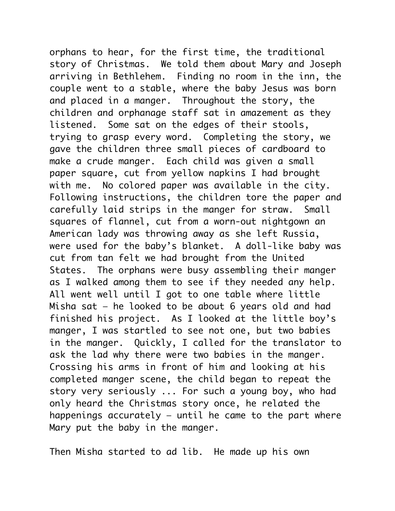orphans to hear, for the first time, the traditional story of Christmas. We told them about Mary and Joseph arriving in Bethlehem. Finding no room in the inn, the couple went to a stable, where the baby Jesus was born and placed in a manger. Throughout the story, the children and orphanage staff sat in amazement as they listened. Some sat on the edges of their stools, trying to grasp every word. Completing the story, we gave the children three small pieces of cardboard to make a crude manger. Each child was given a small paper square, cut from yellow napkins I had brought with me. No colored paper was available in the city. Following instructions, the children tore the paper and carefully laid strips in the manger for straw. Small squares of flannel, cut from a worn-out nightgown an American lady was throwing away as she left Russia, were used for the baby's blanket. A doll-like baby was cut from tan felt we had brought from the United States. The orphans were busy assembling their manger as I walked among them to see if they needed any help. All went well until I got to one table where little Misha sat — he looked to be about 6 years old and had finished his project. As I looked at the little boy's manger, I was startled to see not one, but two babies in the manger. Quickly, I called for the translator to ask the lad why there were two babies in the manger. Crossing his arms in front of him and looking at his completed manger scene, the child began to repeat the story very seriously ... For such a young boy, who had only heard the Christmas story once, he related the happenings accurately — until he came to the part where Mary put the baby in the manger.

Then Misha started to ad lib. He made up his own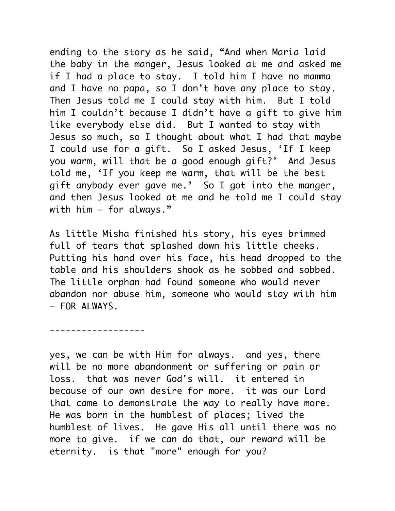ending to the story as he said, "And when Maria laid the baby in the manger, Jesus looked at me and asked me if I had a place to stay. I told him I have no mamma and I have no papa, so I don't have any place to stay. Then Jesus told me I could stay with him. But I told him I couldn't because I didn't have a gift to give him like everybody else did. But I wanted to stay with Jesus so much, so I thought about what I had that maybe I could use for a gift. So I asked Jesus, 'If I keep you warm, will that be a good enough gift?' And Jesus told me, 'If you keep me warm, that will be the best gift anybody ever gave me.' So I got into the manger, and then Jesus looked at me and he told me I could stay with him — for always."

As little Misha finished his story, his eyes brimmed full of tears that splashed down his little cheeks. Putting his hand over his face, his head dropped to the table and his shoulders shook as he sobbed and sobbed. The little orphan had found someone who would never abandon nor abuse him, someone who would stay with him  $-$  FOR ALWAYS.

yes, we can be with Him for always. and yes, there will be no more abandonment or suffering or pain or loss. that was never God's will. it entered in because of our own desire for more. it was our Lord that came to demonstrate the way to really have more. He was born in the humblest of places; lived the humblest of lives. He gave His all until there was no more to give. if we can do that, our reward will be eternity. is that "more" enough for you?

------------------